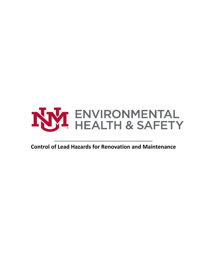

 **Control of Lead Hazards for Renovation and Maintenance**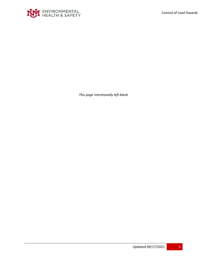

*This page intentionally left blank*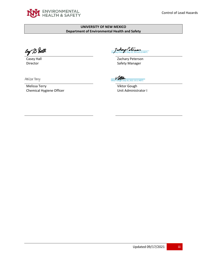

#### **UNIVERSITY OF NEW MEXICO Department of Environmental Health and Safety**

ley 13 Hell

Casey Hall Director

Zachary Poterso 23 MDT)

> Zachary Peterson Safety Manager

Melissa Terry

Melissa Terry Chemical Hygiene Officer

V Mp ep 20, 2021 10:11 MDT)

Viktor Gough Unit Administrator I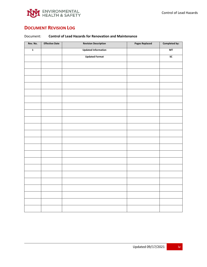

## **DOCUMENT REVISION LOG**

#### Document: **Control of Lead Hazards for Renovation and Maintenance**

| Rev. No.                | <b>Effective Date</b> | <b>Revision Description</b> | <b>Pages Replaced</b> | Completed by:            |
|-------------------------|-----------------------|-----------------------------|-----------------------|--------------------------|
| $\overline{\mathbf{1}}$ |                       | <b>Updated Information</b>  |                       | MT                       |
|                         |                       | <b>Updated Format</b>       |                       | $\overline{\mathsf{sc}}$ |
|                         |                       |                             |                       |                          |
|                         |                       |                             |                       |                          |
|                         |                       |                             |                       |                          |
|                         |                       |                             |                       |                          |
|                         |                       |                             |                       |                          |
|                         |                       |                             |                       |                          |
|                         |                       |                             |                       |                          |
|                         |                       |                             |                       |                          |
|                         |                       |                             |                       |                          |
|                         |                       |                             |                       |                          |
|                         |                       |                             |                       |                          |
|                         |                       |                             |                       |                          |
|                         |                       |                             |                       |                          |
|                         |                       |                             |                       |                          |
|                         |                       |                             |                       |                          |
|                         |                       |                             |                       |                          |
|                         |                       |                             |                       |                          |
|                         |                       |                             |                       |                          |
|                         |                       |                             |                       |                          |
|                         |                       |                             |                       |                          |
|                         |                       |                             |                       |                          |
|                         |                       |                             |                       |                          |
|                         |                       |                             |                       |                          |
|                         |                       |                             |                       |                          |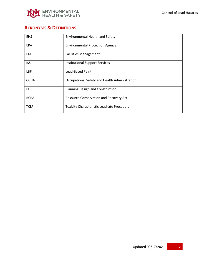

# **ACRONYMS & DEFINITIONS**

| <b>EHS</b>  | <b>Environmental Health and Safety</b>            |
|-------------|---------------------------------------------------|
| <b>EPA</b>  | <b>Environmental Protection Agency</b>            |
| FM          | <b>Facilities Management</b>                      |
| <b>ISS</b>  | <b>Institutional Support Services</b>             |
| <b>LBP</b>  | <b>Lead-Based Paint</b>                           |
| <b>OSHA</b> | Occupational Safety and Health Administration     |
| <b>PDC</b>  | Planning Design and Construction                  |
| <b>RCRA</b> | Resource Conservation and Recovery Act            |
| <b>TCLP</b> | <b>Toxicity Characteristic Leachate Procedure</b> |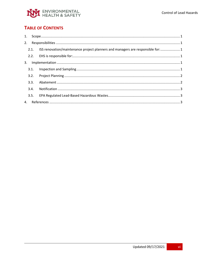

# **TABLE OF CONTENTS**

| 2. |      |                                                                                |  |
|----|------|--------------------------------------------------------------------------------|--|
|    | 2.1. | ISS renovation/maintenance project planners and managers are responsible for:1 |  |
|    | 2.2. |                                                                                |  |
| 3. |      | $\label{lem:nonlinear} {\sf Implementation}\,\,\,\,\,\,\,\,\,\,\,\,$           |  |
|    | 3.1. |                                                                                |  |
|    | 3.2. |                                                                                |  |
|    | 3.3. |                                                                                |  |
|    | 3.4. |                                                                                |  |
|    | 3.5. |                                                                                |  |
|    |      |                                                                                |  |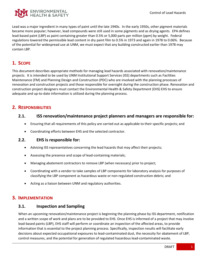<span id="page-6-6"></span>

Lead was a major ingredient in many types of paint until the late 1940s. In the early 1950s, other pigment materials became more popular; however, lead compounds were still used in some pigments and as drying agents. EPA defines lead-based paint (LBP) as paint containing greater than 0.5% or 5,000 parts per million (ppm) by weight. Federal regulations lowered the permissible lead content in dry paint film to 0.5% in 1973 and again in 1978 to 0.06%. Because of the potential for widespread use at UNM, we must expect that any building constructed earlier than 1978 may contain LBP.

## <span id="page-6-0"></span>**1. SCOPE**

This document describes appropriate methods for managing lead hazards associated with renovation/maintenance projects. It is intended to be used by UNM Institutional Support Services (ISS) departments such as Facilities Maintenance (FM) and Planning Design and Construction (PDC) who are involved with the planning processes of renovation and construction projects and those responsible for oversight during the construction phase. Renovation and construction project designers must contact the Environmental Health & Safety Department (EHS) EHS to ensure adequate and up-to-date information is utilized during the planning process.

## <span id="page-6-1"></span>**2. RESPONSIBILITIES**

#### <span id="page-6-2"></span>**2.1. ISS renovation/maintenance project planners and managers are responsible for:**

- Ensuring that all requirements of this policy are carried out as applicable to their specific projects; and
- Coordinating efforts between EHS and the selected contractor.

#### <span id="page-6-3"></span>**2.2. EHS is responsible for:**

- Advising ISS representatives concerning the lead hazards that may affect their projects;
- Assessing the presence and scope of lead-containing materials;
- Managing abatement contractors to remove LBP (when necessary) prior to project;
- Coordinating with a vendor to take samples of LBP components for laboratory analysis for purposes of classifying the LBP component as hazardous waste or non-regulated construction debris; and
- Acting as a liaison between UNM and regulatory authorities.

### <span id="page-6-4"></span>**3. IMPLEMENTATION**

### <span id="page-6-5"></span>**3.1. Inspection and Sampling**

When an upcoming renovation/maintenance project is beginning the planning phase by ISS department, notification and a written scope of work and plans are to be provided to EHS. Once EHS is informed of a project that may involve lead-based paints (LBP), EHS staff will perform or coordinate an inspection of the affected areas, to provide information that is essential to the project planning process. Specifically, inspection results will facilitate early decisions about expected occupational exposures to lead-contaminated dust, the necessity for abatement of LBP, control measures, and the potential for generation of regulated hazardous lead-contaminated waste.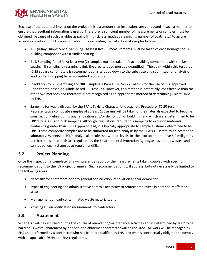<span id="page-7-2"></span>

Because of the potential impact on the project, it is paramount that inspections are conducted in such a manner to ensure that resultant information is useful. Therefore, a sufficient number of measurements or samples must be obtained (because of such variables as paint film thickness, inadequate mixing, number of coats, etc.) to assure accurate classification. EHS is responsible for coordinating the collection of samples by a vendor.

- XRF (X-Ray Fluorescence) Sampling. At least five (5) measurements must be taken of each homogeneous building component with a similar coating.
- Bulk Sampling for LBP. At least two (2) samples must be taken of each building component with similar coating. If sampling by scraping paint, the area scraped must be quantified. The paint within this test area (6.25 square centimeters is recommended) is scraped down to the substrate and submitted for analysis of lead content (in ppm) by an accredited laboratory.
- In addition to Bulk Sampling and XRF Sampling, EPA 40 CFR 745.223 allows for the use of EPA approved Rhodizonate-based or Sulfide-based LBP test kits. However, this method is potentially less effective than the other two methods and therefore is not recognized as an appropriate method of determining LBP at UNM by EHS.
- Sampling for waste disposal by the EPA's Toxicity Characteristic Leachate Procedure (TCLP) test. Representative composite samples of at least 125 grams will be taken of the materials expected to become construction debris during any renovation and/or demolition of buildings, and which were determined to be LBP during XRF and bulk sampling. Although, regulations require this sampling to occur on materials containing greater than 10,000 ppm of lead, it is typically appropriate to sample all items determined to be LBP. These composite samples are to be submitted for lead analysis by the EPA's TCLP test by an accredited laboratory. Whenever TCLP analytical results show lead levels in the extract at or above 5.0 milligrams per liter, these materials are regulated by the Environmental Protection Agency as hazardous wastes, and cannot be legally disposed at regular landfills.

## <span id="page-7-0"></span>**3.2. Project Planning**

Once the inspection is complete, EHS will present a report of the measurements taken, coupled with specific recommendations to the ISS project planners. Such recommendations will address, but not necessarily be limited to the following areas:

- Necessity for abatement prior to general construction, renovation and/or demolition;
- Types of engineering and administrative controls necessary to protect employees in potentially affected areas;
- Management of lead-contaminated waste materials; and
- Advising ISS on notification requirements to contractors.

### <span id="page-7-1"></span>**3.3. Abatement**

When LBP will be disturbed during the course of renovation/maintenance activities and is determined by TCLP to be hazardous waste, abatement by a specialized abatement contractor will be required. All work will be managed by EHS and performed by a contractor who has been prequalified by EHS, and who is contractually obligated to comply with all applicable OSHA and EPA regulations.